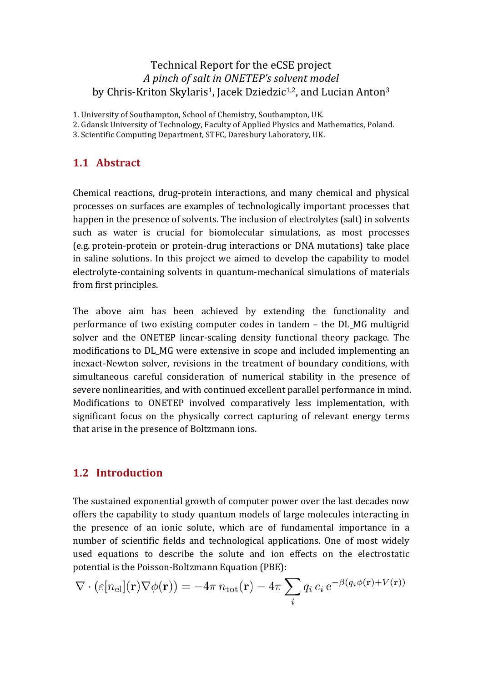### Technical Report for the eCSE project *A pinch of salt in ONETEP's solvent model* by Chris-Kriton Skylaris<sup>1</sup>, Jacek Dziedzic<sup>1,2</sup>, and Lucian Anton<sup>3</sup>

1. University of Southampton, School of Chemistry, Southampton, UK.

- 2. Gdansk University of Technology, Faculty of Applied Physics and Mathematics, Poland.
- 3. Scientific Computing Department, STFC, Daresbury Laboratory, UK.

# **1.1 Abstract**

Chemical reactions, drug-protein interactions, and many chemical and physical processes on surfaces are examples of technologically important processes that happen in the presence of solvents. The inclusion of electrolytes (salt) in solvents such as water is crucial for biomolecular simulations, as most processes (e.g. protein-protein or protein-drug interactions or DNA mutations) take place in saline solutions. In this project we aimed to develop the capability to model electrolyte-containing solvents in quantum-mechanical simulations of materials from first principles.

The above aim has been achieved by extending the functionality and performance of two existing computer codes in tandem – the DL MG multigrid solver and the ONETEP linear-scaling density functional theory package. The modifications to DL MG were extensive in scope and included implementing an inexact-Newton solver, revisions in the treatment of boundary conditions, with simultaneous careful consideration of numerical stability in the presence of severe nonlinearities, and with continued excellent parallel performance in mind. Modifications to ONETEP involved comparatively less implementation, with significant focus on the physically correct capturing of relevant energy terms that arise in the presence of Boltzmann ions.

### **1.2 Introduction**

The sustained exponential growth of computer power over the last decades now offers the capability to study quantum models of large molecules interacting in the presence of an ionic solute, which are of fundamental importance in a number of scientific fields and technological applications. One of most widely used equations to describe the solute and ion effects on the electrostatic potential is the Poisson-Boltzmann Equation (PBE):

$$
\nabla \cdot (\varepsilon [n_{\rm el}](\mathbf{r}) \nabla \phi(\mathbf{r})) = -4\pi n_{\rm tot}(\mathbf{r}) - 4\pi \sum_i q_i \, c_i \, e^{-\beta (q_i \phi(\mathbf{r}) + V(\mathbf{r}))}
$$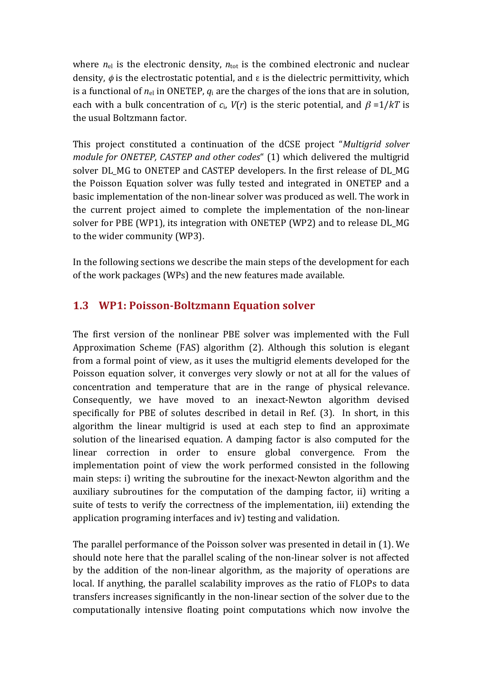where  $n_{el}$  is the electronic density,  $n_{tot}$  is the combined electronic and nuclear density,  $\phi$  is the electrostatic potential, and  $\epsilon$  is the dielectric permittivity, which is a functional of  $n_{el}$  in ONETEP,  $q_i$  are the charges of the ions that are in solution, each with a bulk concentration of  $c_i$ ,  $V(r)$  is the steric potential, and  $\beta =1/kT$  is the usual Boltzmann factor.

This project constituted a continuation of the dCSE project "*Multigrid solver module for ONETEP, CASTEP and other codes*" (1) which delivered the multigrid solver DL MG to ONETEP and CASTEP developers. In the first release of DL MG the Poisson Equation solver was fully tested and integrated in ONETEP and a basic implementation of the non-linear solver was produced as well. The work in the current project aimed to complete the implementation of the non-linear solver for PBE (WP1), its integration with ONETEP (WP2) and to release DL\_MG to the wider community (WP3).

In the following sections we describe the main steps of the development for each of the work packages (WPs) and the new features made available.

### **1.3 WP1: Poisson-Boltzmann Equation solver**

The first version of the nonlinear PBE solver was implemented with the Full Approximation Scheme  $(FAS)$  algorithm  $(2)$ . Although this solution is elegant from a formal point of view, as it uses the multigrid elements developed for the Poisson equation solver, it converges very slowly or not at all for the values of concentration and temperature that are in the range of physical relevance. Consequently, we have moved to an inexact-Newton algorithm devised specifically for PBE of solutes described in detail in Ref. (3). In short, in this algorithm the linear multigrid is used at each step to find an approximate solution of the linearised equation. A damping factor is also computed for the linear correction in order to ensure global convergence. From the implementation point of view the work performed consisted in the following main steps: i) writing the subroutine for the inexact-Newton algorithm and the auxiliary subroutines for the computation of the damping factor, ii) writing a suite of tests to verify the correctness of the implementation, iii) extending the application programing interfaces and iv) testing and validation.

The parallel performance of the Poisson solver was presented in detail in (1). We should note here that the parallel scaling of the non-linear solver is not affected by the addition of the non-linear algorithm, as the majority of operations are local. If anything, the parallel scalability improves as the ratio of FLOPs to data transfers increases significantly in the non-linear section of the solver due to the computationally intensive floating point computations which now involve the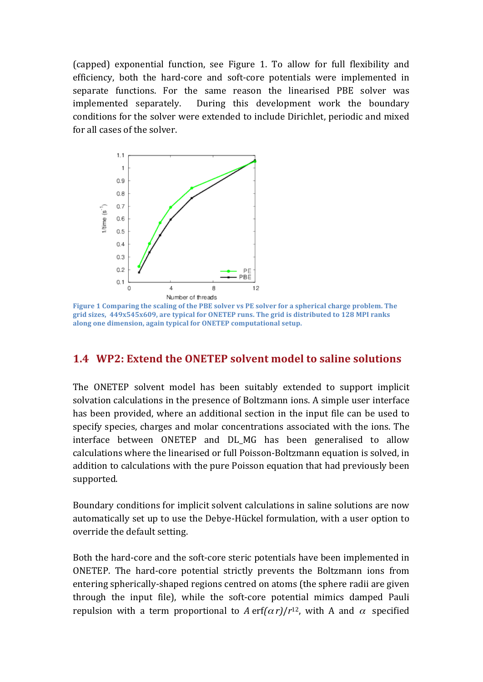(capped) exponential function, see Figure 1. To allow for full flexibility and efficiency, both the hard-core and soft-core potentials were implemented in separate functions. For the same reason the linearised PBE solver was implemented separately. During this development work the boundary conditions for the solver were extended to include Dirichlet, periodic and mixed for all cases of the solver.



**Figure 1 Comparing the scaling of the PBE solver vs PE solver for a spherical charge problem. The** grid sizes, 449x545x609, are typical for ONETEP runs. The grid is distributed to 128 MPI ranks along one dimension, again typical for ONETEP computational setup.

#### **1.4 WP2: Extend the ONETEP solvent model to saline solutions**

The ONETEP solvent model has been suitably extended to support implicit solvation calculations in the presence of Boltzmann ions. A simple user interface has been provided, where an additional section in the input file can be used to specify species, charges and molar concentrations associated with the ions. The interface between ONETEP and DL\_MG has been generalised to allow calculations where the linearised or full Poisson-Boltzmann equation is solved, in addition to calculations with the pure Poisson equation that had previously been supported. 

Boundary conditions for implicit solvent calculations in saline solutions are now automatically set up to use the Debye-Hückel formulation, with a user option to override the default setting.

Both the hard-core and the soft-core steric potentials have been implemented in ONETEP. The hard-core potential strictly prevents the Boltzmann ions from entering spherically-shaped regions centred on atoms (the sphere radii are given through the input file), while the soft-core potential mimics damped Pauli repulsion with a term proportional to A erf $(\alpha r)/r^{12}$ , with A and  $\alpha$  specified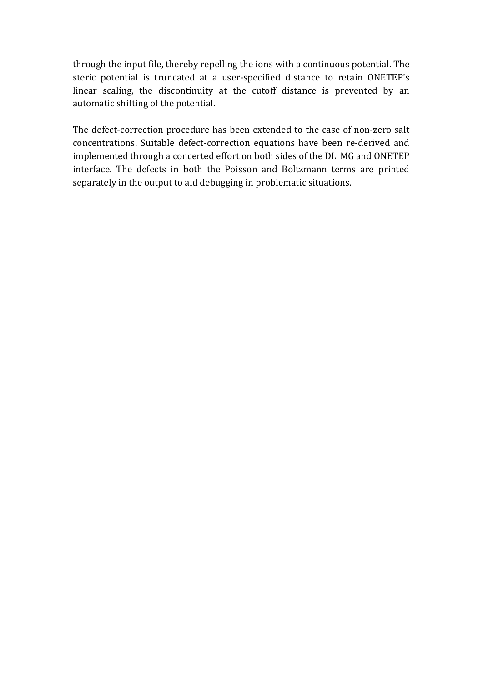through the input file, thereby repelling the ions with a continuous potential. The steric potential is truncated at a user-specified distance to retain ONETEP's linear scaling, the discontinuity at the cutoff distance is prevented by an automatic shifting of the potential.

The defect-correction procedure has been extended to the case of non-zero salt concentrations. Suitable defect-correction equations have been re-derived and implemented through a concerted effort on both sides of the DL\_MG and ONETEP interface. The defects in both the Poisson and Boltzmann terms are printed separately in the output to aid debugging in problematic situations.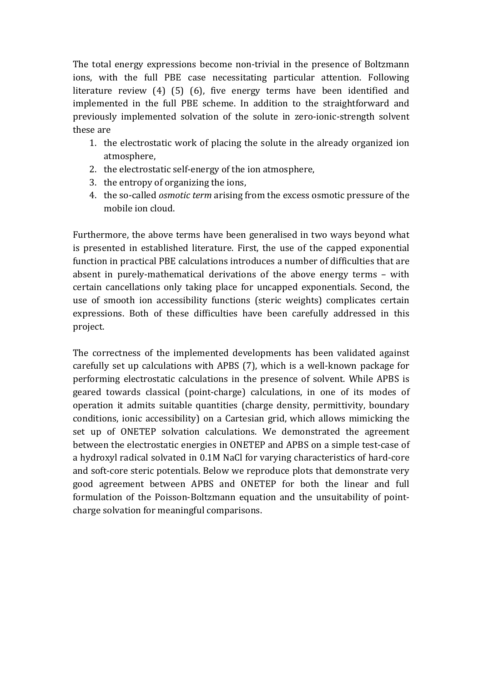The total energy expressions become non-trivial in the presence of Boltzmann ions, with the full PBE case necessitating particular attention. Following literature review  $(4)$   $(5)$   $(6)$ , five energy terms have been identified and implemented in the full PBE scheme. In addition to the straightforward and previously implemented solvation of the solute in zero-ionic-strength solvent these are

- 1. the electrostatic work of placing the solute in the already organized ion atmosphere,
- 2. the electrostatic self-energy of the ion atmosphere,
- 3. the entropy of organizing the ions,
- 4. the so-called *osmotic term* arising from the excess osmotic pressure of the mobile ion cloud.

Furthermore, the above terms have been generalised in two ways beyond what is presented in established literature. First, the use of the capped exponential function in practical PBE calculations introduces a number of difficulties that are absent in purely-mathematical derivations of the above energy terms  $-$  with certain cancellations only taking place for uncapped exponentials. Second, the use of smooth ion accessibility functions (steric weights) complicates certain expressions. Both of these difficulties have been carefully addressed in this project.

The correctness of the implemented developments has been validated against carefully set up calculations with APBS (7), which is a well-known package for performing electrostatic calculations in the presence of solvent. While APBS is geared towards classical (point-charge) calculations, in one of its modes of operation it admits suitable quantities (charge density, permittivity, boundary conditions, ionic accessibility) on a Cartesian grid, which allows mimicking the set up of ONETEP solvation calculations. We demonstrated the agreement between the electrostatic energies in ONETEP and APBS on a simple test-case of a hydroxyl radical solvated in 0.1M NaCl for varying characteristics of hard-core and soft-core steric potentials. Below we reproduce plots that demonstrate very good agreement between APBS and ONETEP for both the linear and full formulation of the Poisson-Boltzmann equation and the unsuitability of pointcharge solvation for meaningful comparisons.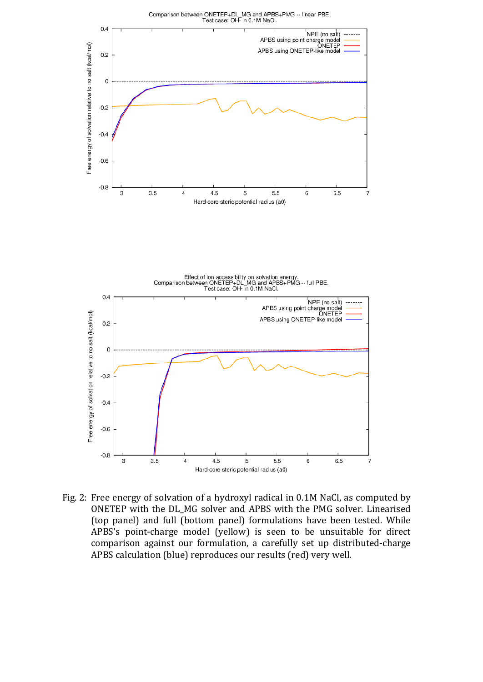





Fig. 2: Free energy of solvation of a hydroxyl radical in 0.1M NaCl, as computed by ONETEP with the DL\_MG solver and APBS with the PMG solver. Linearised (top panel) and full (bottom panel) formulations have been tested. While APBS's point-charge model (yellow) is seen to be unsuitable for direct comparison against our formulation, a carefully set up distributed-charge APBS calculation (blue) reproduces our results (red) very well.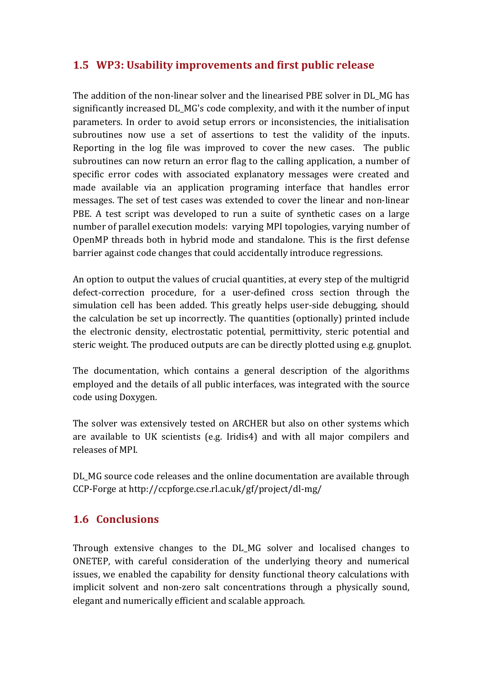# **1.5** WP3: Usability improvements and first public release

The addition of the non-linear solver and the linearised PBE solver in DL MG has significantly increased DL\_MG's code complexity, and with it the number of input parameters. In order to avoid setup errors or inconsistencies, the initialisation subroutines now use a set of assertions to test the validity of the inputs. Reporting in the log file was improved to cover the new cases. The public subroutines can now return an error flag to the calling application, a number of specific error codes with associated explanatory messages were created and made available via an application programing interface that handles error messages. The set of test cases was extended to cover the linear and non-linear PBE. A test script was developed to run a suite of synthetic cases on a large number of parallel execution models: varying MPI topologies, varying number of OpenMP threads both in hybrid mode and standalone. This is the first defense barrier against code changes that could accidentally introduce regressions.

An option to output the values of crucial quantities, at every step of the multigrid defect-correction procedure, for a user-defined cross section through the simulation cell has been added. This greatly helps user-side debugging, should the calculation be set up incorrectly. The quantities (optionally) printed include the electronic density, electrostatic potential, permittivity, steric potential and steric weight. The produced outputs are can be directly plotted using e.g. gnuplot.

The documentation, which contains a general description of the algorithms employed and the details of all public interfaces, was integrated with the source code using Doxygen.

The solver was extensively tested on ARCHER but also on other systems which are available to UK scientists (e.g. Iridis4) and with all major compilers and releases of MPI.

DL\_MG source code releases and the online documentation are available through CCP-Forge at http://ccpforge.cse.rl.ac.uk/gf/project/dl-mg/

### **1.6 Conclusions**

Through extensive changes to the DL\_MG solver and localised changes to ONETEP, with careful consideration of the underlying theory and numerical issues, we enabled the capability for density functional theory calculations with implicit solvent and non-zero salt concentrations through a physically sound, elegant and numerically efficient and scalable approach.